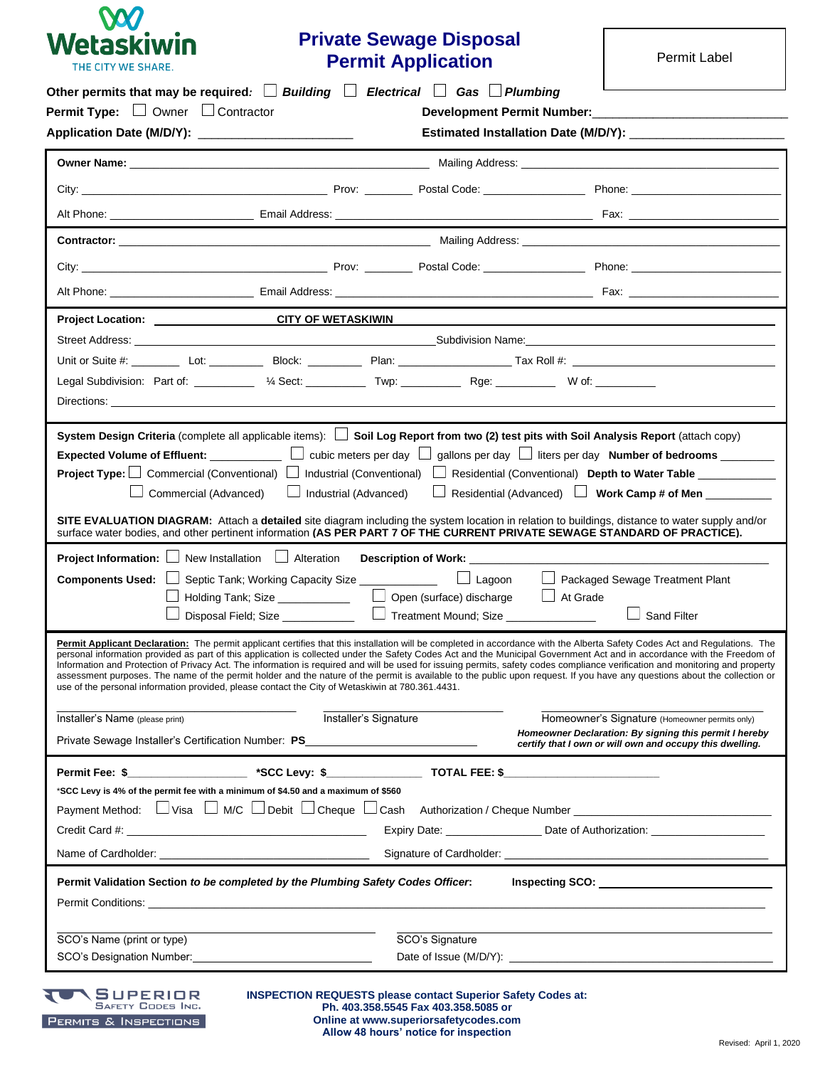

# **Private Sewage Disposal Permit Application**

Permit Label

|                                                                                                                                                                                                                                                                                                                                                                                                                                                                                                                                                                                                                                                                                                                                                                                                                                                                                                                                                  | <b>Permit Type:</b> $\Box$ Owner $\Box$ Contractor |                                                                                              |                                                                                                                    |                                                |  |  |  |
|--------------------------------------------------------------------------------------------------------------------------------------------------------------------------------------------------------------------------------------------------------------------------------------------------------------------------------------------------------------------------------------------------------------------------------------------------------------------------------------------------------------------------------------------------------------------------------------------------------------------------------------------------------------------------------------------------------------------------------------------------------------------------------------------------------------------------------------------------------------------------------------------------------------------------------------------------|----------------------------------------------------|----------------------------------------------------------------------------------------------|--------------------------------------------------------------------------------------------------------------------|------------------------------------------------|--|--|--|
|                                                                                                                                                                                                                                                                                                                                                                                                                                                                                                                                                                                                                                                                                                                                                                                                                                                                                                                                                  |                                                    |                                                                                              |                                                                                                                    |                                                |  |  |  |
|                                                                                                                                                                                                                                                                                                                                                                                                                                                                                                                                                                                                                                                                                                                                                                                                                                                                                                                                                  |                                                    |                                                                                              |                                                                                                                    |                                                |  |  |  |
|                                                                                                                                                                                                                                                                                                                                                                                                                                                                                                                                                                                                                                                                                                                                                                                                                                                                                                                                                  |                                                    |                                                                                              |                                                                                                                    |                                                |  |  |  |
|                                                                                                                                                                                                                                                                                                                                                                                                                                                                                                                                                                                                                                                                                                                                                                                                                                                                                                                                                  |                                                    |                                                                                              |                                                                                                                    |                                                |  |  |  |
|                                                                                                                                                                                                                                                                                                                                                                                                                                                                                                                                                                                                                                                                                                                                                                                                                                                                                                                                                  |                                                    |                                                                                              |                                                                                                                    |                                                |  |  |  |
|                                                                                                                                                                                                                                                                                                                                                                                                                                                                                                                                                                                                                                                                                                                                                                                                                                                                                                                                                  |                                                    |                                                                                              |                                                                                                                    |                                                |  |  |  |
|                                                                                                                                                                                                                                                                                                                                                                                                                                                                                                                                                                                                                                                                                                                                                                                                                                                                                                                                                  |                                                    |                                                                                              |                                                                                                                    |                                                |  |  |  |
| Project Location: CITY OF WETASKIWIN                                                                                                                                                                                                                                                                                                                                                                                                                                                                                                                                                                                                                                                                                                                                                                                                                                                                                                             |                                                    |                                                                                              |                                                                                                                    |                                                |  |  |  |
|                                                                                                                                                                                                                                                                                                                                                                                                                                                                                                                                                                                                                                                                                                                                                                                                                                                                                                                                                  |                                                    |                                                                                              |                                                                                                                    |                                                |  |  |  |
|                                                                                                                                                                                                                                                                                                                                                                                                                                                                                                                                                                                                                                                                                                                                                                                                                                                                                                                                                  |                                                    |                                                                                              |                                                                                                                    |                                                |  |  |  |
| Legal Subdivision: Part of: __________ 1/4 Sect: ___________ Twp: ____________ Rge: __________ W of: _________                                                                                                                                                                                                                                                                                                                                                                                                                                                                                                                                                                                                                                                                                                                                                                                                                                   |                                                    |                                                                                              |                                                                                                                    |                                                |  |  |  |
|                                                                                                                                                                                                                                                                                                                                                                                                                                                                                                                                                                                                                                                                                                                                                                                                                                                                                                                                                  |                                                    |                                                                                              |                                                                                                                    |                                                |  |  |  |
| Commercial (Advanced)<br>SITE EVALUATION DIAGRAM: Attach a detailed site diagram including the system location in relation to buildings, distance to water supply and/or                                                                                                                                                                                                                                                                                                                                                                                                                                                                                                                                                                                                                                                                                                                                                                         | $\Box$ Industrial (Advanced)                       |                                                                                              | Residential (Advanced) U Work Camp # of Men                                                                        |                                                |  |  |  |
| surface water bodies, and other pertinent information (AS PER PART 7 OF THE CURRENT PRIVATE SEWAGE STANDARD OF PRACTICE).<br><b>Project Information:</b> $\Box$ New Installation $\Box$ Alteration<br>Components Used:                                                                                                                                                                                                                                                                                                                                                                                                                                                                                                                                                                                                                                                                                                                           |                                                    | Septic Tank; Working Capacity Size ______________   Lagoon   Packaged Sewage Treatment Plant |                                                                                                                    |                                                |  |  |  |
|                                                                                                                                                                                                                                                                                                                                                                                                                                                                                                                                                                                                                                                                                                                                                                                                                                                                                                                                                  |                                                    | Holding Tank; Size ________________   U Open (surface) discharge   U At Grade                |                                                                                                                    | Sand Filter                                    |  |  |  |
|                                                                                                                                                                                                                                                                                                                                                                                                                                                                                                                                                                                                                                                                                                                                                                                                                                                                                                                                                  |                                                    |                                                                                              |                                                                                                                    |                                                |  |  |  |
| Permit Applicant Declaration: The permit applicant certifies that this installation will be completed in accordance with the Alberta Safety Codes Act and Requlations. The<br>personal information provided as part of this application is collected under the Safety Codes Act and the Municipal Government Act and in accordance with the Freedom of<br>Information and Protection of Privacy Act. The information is required and will be used for issuing permits, safety codes compliance verification and monitoring and property<br>assessment purposes. The name of the permit holder and the nature of the permit is available to the public upon request. If you have any questions about the collection or<br>use of the personal information provided, please contact the City of Wetaskiwin at 780.361.4431.<br>Installer's Name (please print)<br>Private Sewage Installer's Certification Number: PS_____________________________ |                                                    | Installer's Signature                                                                        | Homeowner Declaration: By signing this permit I hereby<br>certify that I own or will own and occupy this dwelling. | Homeowner's Signature (Homeowner permits only) |  |  |  |
|                                                                                                                                                                                                                                                                                                                                                                                                                                                                                                                                                                                                                                                                                                                                                                                                                                                                                                                                                  |                                                    |                                                                                              |                                                                                                                    |                                                |  |  |  |
| *SCC Levy is 4% of the permit fee with a minimum of \$4.50 and a maximum of \$560                                                                                                                                                                                                                                                                                                                                                                                                                                                                                                                                                                                                                                                                                                                                                                                                                                                                |                                                    |                                                                                              |                                                                                                                    |                                                |  |  |  |
|                                                                                                                                                                                                                                                                                                                                                                                                                                                                                                                                                                                                                                                                                                                                                                                                                                                                                                                                                  |                                                    |                                                                                              |                                                                                                                    |                                                |  |  |  |
|                                                                                                                                                                                                                                                                                                                                                                                                                                                                                                                                                                                                                                                                                                                                                                                                                                                                                                                                                  |                                                    |                                                                                              | Expiry Date: ________________________Date of Authorization: ____________________                                   |                                                |  |  |  |
|                                                                                                                                                                                                                                                                                                                                                                                                                                                                                                                                                                                                                                                                                                                                                                                                                                                                                                                                                  |                                                    |                                                                                              |                                                                                                                    |                                                |  |  |  |
|                                                                                                                                                                                                                                                                                                                                                                                                                                                                                                                                                                                                                                                                                                                                                                                                                                                                                                                                                  |                                                    |                                                                                              |                                                                                                                    |                                                |  |  |  |
| Payment Method: UVisa UM/C UDebit UCheque UCash Authorization / Cheque Number _____________________<br>Permit Validation Section to be completed by the Plumbing Safety Codes Officer.<br>Permit Conditions: Note that the conditions of the conditions of the conditions of the conditions of the conditions of the conditions of the conditions of the conditions of the conditions of the conditions of the condition<br>SCO's Name (print or type)                                                                                                                                                                                                                                                                                                                                                                                                                                                                                           |                                                    | SCO's Signature                                                                              |                                                                                                                    |                                                |  |  |  |

**Online at www.superiorsafetycodes.com Allow 48 hours' notice for inspection**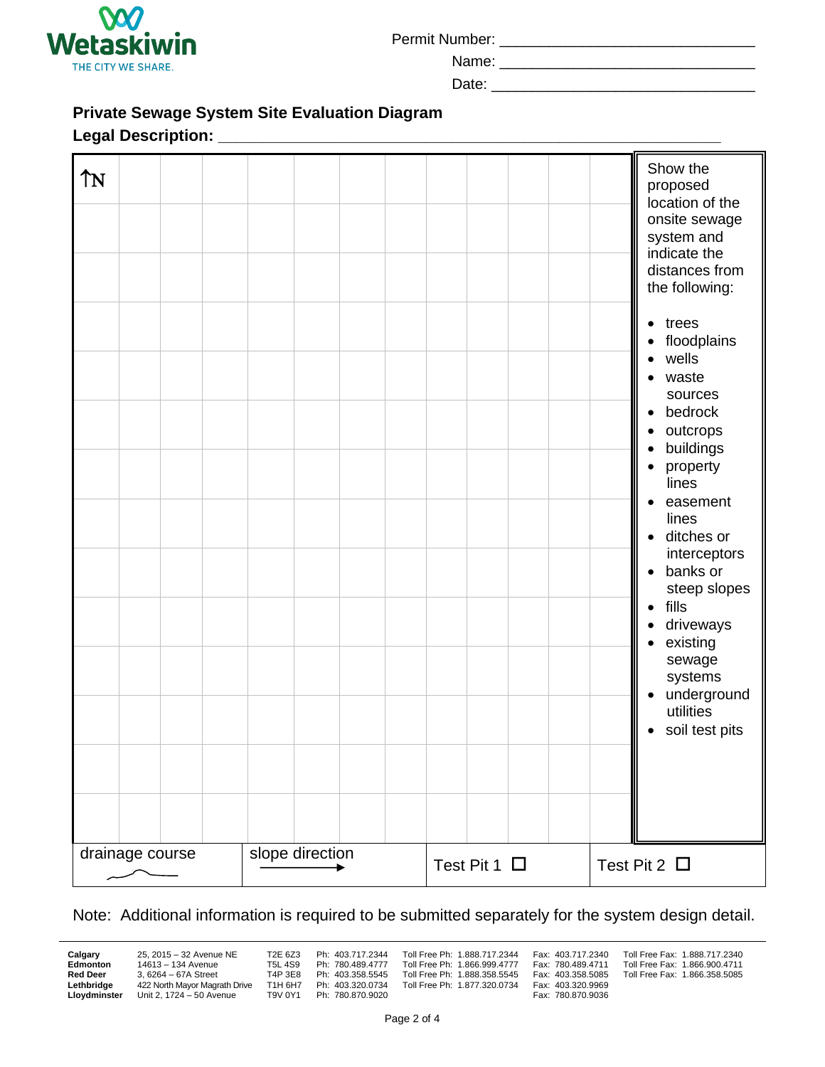

Permit Number: \_\_\_\_\_\_\_\_\_\_\_\_\_\_\_\_\_\_\_\_\_\_\_\_\_\_\_\_\_\_\_

Name:

Date:

# **Private Sewage System Site Evaluation Diagram**

### **Legal Description: \_\_\_\_\_\_\_\_\_\_\_\_\_\_\_\_\_\_\_\_\_\_\_\_\_\_\_\_\_\_\_\_\_\_\_\_\_\_\_\_\_\_\_\_\_\_\_\_\_\_\_\_\_\_\_\_**

| ÎΝ<br>drainage course | slope direction |                   | proposed<br>location of the<br>onsite sewage<br>system and<br>indicate the<br>distances from<br>the following:<br>$\bullet$ trees<br>floodplains<br>wells<br>$\bullet$<br>waste<br>$\bullet$<br>sources<br>bedrock<br>$\bullet$<br>outcrops<br>buildings<br>$\bullet$<br>property<br>lines<br>easement<br>$\bullet$<br>lines<br>ditches or<br>$\bullet$<br>interceptors<br>banks or<br>$\bullet$<br>steep slopes<br>fills<br>$\bullet$<br>driveways<br>existing<br>$\bullet$<br>sewage<br>systems<br>underground<br>$\bullet$<br>utilities<br>soil test pits<br>$\bullet$ |
|-----------------------|-----------------|-------------------|---------------------------------------------------------------------------------------------------------------------------------------------------------------------------------------------------------------------------------------------------------------------------------------------------------------------------------------------------------------------------------------------------------------------------------------------------------------------------------------------------------------------------------------------------------------------------|
|                       |                 | Test Pit 1 $\Box$ | Test Pit 2 $\Box$                                                                                                                                                                                                                                                                                                                                                                                                                                                                                                                                                         |

## Note: Additional information is required to be submitted separately for the system design detail.

**Lethbridge** 422 North Mayor Magrath Drive T1H 6H7 Ph: 403.320.0734 Toll Free Ph: 1.877.320.0734 Fax: 403.320.9969<br>**Lloydminster** Unit 2, 1724 - 50 Avenue T9V 0Y1 Ph: 780.870.9020 Fax: 780.870.9036 **Unit 2, 1724 – 50 Avenue** 

**Calgary** 25, 2015 – 32 Avenue NE T2E 6Z3 Ph: 403.717.2344 Toll Free Ph: 1.888.717.2344 Fax: 403.717.2340 Toll Free Fax: 1.888.717.2340<br> **Edmonton** 14613 – 134 Avenue T5L 4S9 Ph: 780.489.4777 Toll Free Ph: 1.866.999.4777 F **Edmonton** 14613 – 134 Avenue T5L 4S9 Ph: 780.489.4777 Toll Free Ph: 1.866.999.4777 Fax: 780.489.4711 Red Deer 3, 6264 – 67A Street T4P 3E8 Ph: 403.358.5645 Toll Free Ph: 1.888.358.5545 Fax: 403.358.5085 **Red Deer** 3, 6264 – 67A Street T4P 3E8 Ph: 403.358.5545 Toll Free Ph: 1.888.358.5545 Fax: 403.358.5085 Toll Free Fax: 1.866.358.5085<br> **Lethbridge** 422 North Mayor Magrath Drive T1H 6H7 Ph: 403.320.0734 Toll Free Ph: 1.877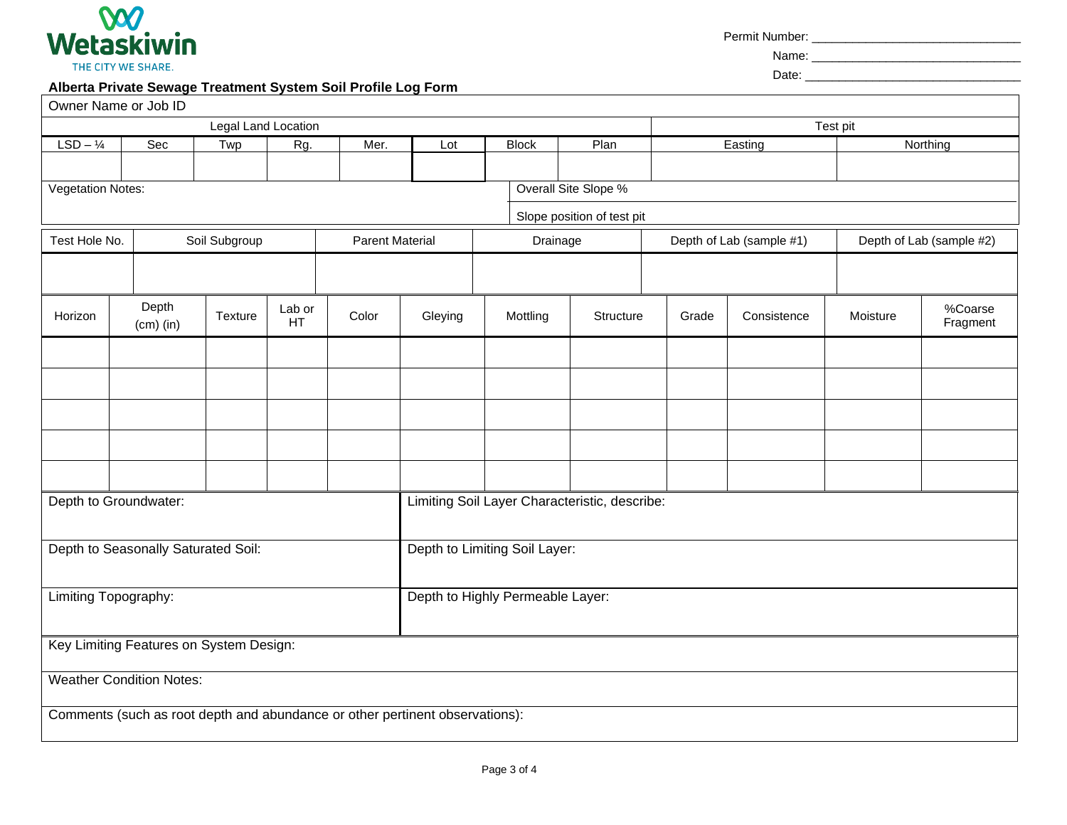

Permit Number: \_\_\_\_\_\_\_\_\_\_\_\_\_\_\_\_\_\_\_\_\_\_\_\_\_\_\_\_\_\_\_

Name: \_\_\_\_\_\_\_\_\_\_\_\_\_\_\_\_\_\_\_\_\_\_\_\_\_\_\_\_\_\_\_

Date: \_\_\_\_\_\_\_\_\_\_\_\_\_\_\_\_\_\_\_\_\_\_\_\_\_\_\_\_\_\_\_\_

#### **Alberta Private Sewage Treatment System Soil Profile Log Form**

|                                     | Owner Name or Job ID                                                         |         |                     |       |                                               |              |                            |          |                          |          |                          |  |
|-------------------------------------|------------------------------------------------------------------------------|---------|---------------------|-------|-----------------------------------------------|--------------|----------------------------|----------|--------------------------|----------|--------------------------|--|
|                                     |                                                                              |         | Legal Land Location |       |                                               |              |                            | Test pit |                          |          |                          |  |
| $LSD - 1/4$                         | Sec                                                                          | Twp     | Rg.                 | Mer.  | Lot                                           | <b>Block</b> | Plan                       |          | Easting                  |          | Northing                 |  |
|                                     |                                                                              |         |                     |       |                                               |              |                            |          |                          |          |                          |  |
| <b>Vegetation Notes:</b>            |                                                                              |         |                     |       |                                               |              | Overall Site Slope %       |          |                          |          |                          |  |
|                                     |                                                                              |         |                     |       |                                               |              | Slope position of test pit |          |                          |          |                          |  |
| Test Hole No.<br>Soil Subgroup      |                                                                              |         |                     |       | <b>Parent Material</b><br>Drainage            |              |                            |          |                          |          |                          |  |
|                                     |                                                                              |         |                     |       |                                               |              |                            |          | Depth of Lab (sample #1) |          | Depth of Lab (sample #2) |  |
|                                     |                                                                              |         |                     |       |                                               |              |                            |          |                          |          |                          |  |
| Horizon                             | Depth<br>$(cm)$ (in)                                                         | Texture | Lab or<br>HT        | Color | Gleying                                       | Mottling     | Structure                  | Grade    | Consistence              | Moisture | %Coarse<br>Fragment      |  |
|                                     |                                                                              |         |                     |       |                                               |              |                            |          |                          |          |                          |  |
|                                     |                                                                              |         |                     |       |                                               |              |                            |          |                          |          |                          |  |
|                                     |                                                                              |         |                     |       |                                               |              |                            |          |                          |          |                          |  |
|                                     |                                                                              |         |                     |       |                                               |              |                            |          |                          |          |                          |  |
|                                     |                                                                              |         |                     |       |                                               |              |                            |          |                          |          |                          |  |
|                                     | Depth to Groundwater:                                                        |         |                     |       | Limiting Soil Layer Characteristic, describe: |              |                            |          |                          |          |                          |  |
| Depth to Seasonally Saturated Soil: |                                                                              |         |                     |       | Depth to Limiting Soil Layer:                 |              |                            |          |                          |          |                          |  |
| Limiting Topography:                |                                                                              |         |                     |       | Depth to Highly Permeable Layer:              |              |                            |          |                          |          |                          |  |
|                                     |                                                                              |         |                     |       |                                               |              |                            |          |                          |          |                          |  |
|                                     | Key Limiting Features on System Design:                                      |         |                     |       |                                               |              |                            |          |                          |          |                          |  |
|                                     | <b>Weather Condition Notes:</b>                                              |         |                     |       |                                               |              |                            |          |                          |          |                          |  |
|                                     | Comments (such as root depth and abundance or other pertinent observations): |         |                     |       |                                               |              |                            |          |                          |          |                          |  |
|                                     |                                                                              |         |                     |       |                                               |              |                            |          |                          |          |                          |  |